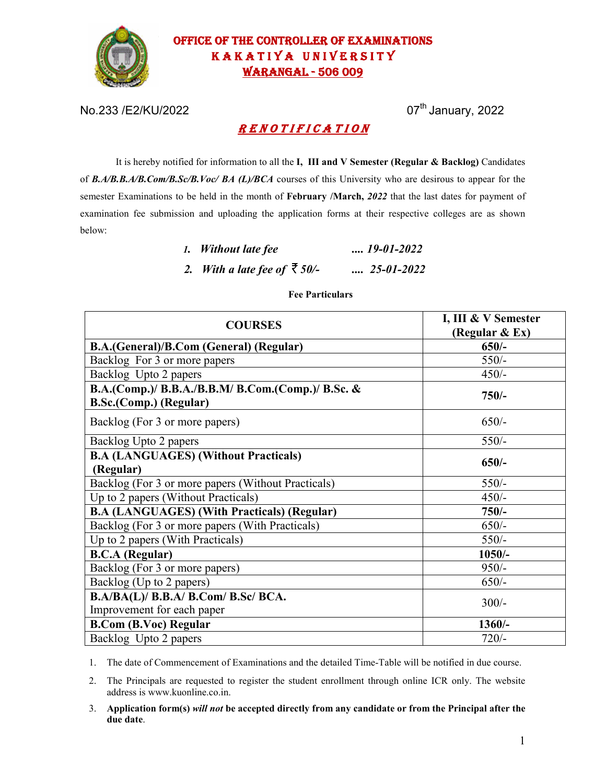

# OFFICE OF THE CONTROLLER OF EXAMINATIONS KAKATIYA UNIVERSITY WARANGAL - 506 009

No.233 /E2/KU/2022 07th January, 2022

# R E N O T I F I C A T I O N

It is hereby notified for information to all the **I, III and V Semester (Regular & Backlog)** Candidates of *B.A/B.B.A/B.Com/B.Sc/B.Voc/ BA (L)/BCA* courses of this University who are desirous to appear for the semester Examinations to be held in the month of **February /March,** *2022* that the last dates for payment of examination fee submission and uploading the application forms at their respective colleges are as shown below:

| 1. Without late fee                  | $\ldots$ 19-01-2022 |
|--------------------------------------|---------------------|
| 2. With a late fee of $\bar{z}$ 50/- | $\ldots$ 25-01-2022 |

### **Fee Particulars**

| <b>COURSES</b>                                                              | I, III & V Semester<br>(Regular & Ex) |
|-----------------------------------------------------------------------------|---------------------------------------|
| B.A.(General)/B.Com (General) (Regular)                                     | $650/-$                               |
| Backlog For 3 or more papers                                                | $550/-$                               |
| Backlog Upto 2 papers                                                       | $450/-$                               |
| B.A.(Comp.)/ B.B.A./B.B.M/ B.Com.(Comp.)/ B.Sc. &<br>B.Sc.(Comp.) (Regular) | $750/-$                               |
| Backlog (For 3 or more papers)                                              | $650/-$                               |
| Backlog Upto 2 papers                                                       | $550/-$                               |
| <b>B.A (LANGUAGES) (Without Practicals)</b><br>(Regular)                    | $650/-$                               |
| Backlog (For 3 or more papers (Without Practicals)                          | $550/-$                               |
| Up to 2 papers (Without Practicals)                                         | $450/-$                               |
| <b>B.A (LANGUAGES) (With Practicals) (Regular)</b>                          | $750/-$                               |
| Backlog (For 3 or more papers (With Practicals)                             | $650/-$                               |
| Up to 2 papers (With Practicals)                                            | $550/-$                               |
| <b>B.C.A</b> (Regular)                                                      | $1050/-$                              |
| Backlog (For 3 or more papers)                                              | $950/-$                               |
| Backlog (Up to 2 papers)                                                    | $650/-$                               |
| B.A/BA(L)/ B.B.A/ B.Com/ B.Sc/ BCA.<br>Improvement for each paper           | $300/-$                               |
| <b>B.Com (B.Voc) Regular</b>                                                | $1360/-$                              |
| Backlog Upto 2 papers                                                       | $720/-$                               |

1. The date of Commencement of Examinations and the detailed Time-Table will be notified in due course.

2. The Principals are requested to register the student enrollment through online ICR only. The website address is www.kuonline.co.in.

3. **Application form(s)** *will not* **be accepted directly from any candidate or from the Principal after the due date**.